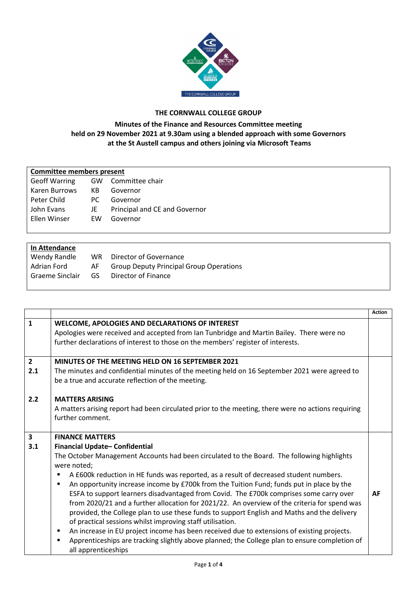

## **THE CORNWALL COLLEGE GROUP**

## **Minutes of the Finance and Resources Committee meeting held on 29 November 2021 at 9.30am using a blended approach with some Governors at the St Austell campus and others joining via Microsoft Teams**

| <b>Committee members present</b> |           |                               |  |  |
|----------------------------------|-----------|-------------------------------|--|--|
| <b>Geoff Warring</b>             |           | GW Committee chair            |  |  |
| Karen Burrows                    | KB.       | Governor                      |  |  |
| Peter Child                      | PC.       | Governor                      |  |  |
| John Evans                       | JE        | Principal and CE and Governor |  |  |
| Ellen Winser                     | <b>FW</b> | Governor                      |  |  |
|                                  |           |                               |  |  |

| In Attendance   |     |                                                |
|-----------------|-----|------------------------------------------------|
| Wendy Randle    | WR. | Director of Governance                         |
| Adrian Ford     | AF  | <b>Group Deputy Principal Group Operations</b> |
| Graeme Sinclair | GS. | Director of Finance                            |
|                 |     |                                                |

|                         |                                                                                                                 | <b>Action</b> |
|-------------------------|-----------------------------------------------------------------------------------------------------------------|---------------|
| $\mathbf{1}$            | WELCOME, APOLOGIES AND DECLARATIONS OF INTEREST                                                                 |               |
|                         | Apologies were received and accepted from Ian Tunbridge and Martin Bailey. There were no                        |               |
|                         | further declarations of interest to those on the members' register of interests.                                |               |
| $\overline{2}$          | MINUTES OF THE MEETING HELD ON 16 SEPTEMBER 2021                                                                |               |
| 2.1                     |                                                                                                                 |               |
|                         | The minutes and confidential minutes of the meeting held on 16 September 2021 were agreed to                    |               |
|                         | be a true and accurate reflection of the meeting.                                                               |               |
| 2.2                     | <b>MATTERS ARISING</b>                                                                                          |               |
|                         | A matters arising report had been circulated prior to the meeting, there were no actions requiring              |               |
|                         | further comment.                                                                                                |               |
|                         |                                                                                                                 |               |
| $\overline{\mathbf{3}}$ | <b>FINANCE MATTERS</b>                                                                                          |               |
| 3.1                     | Financial Update-Confidential                                                                                   |               |
|                         | The October Management Accounts had been circulated to the Board. The following highlights                      |               |
|                         | were noted;                                                                                                     |               |
|                         | A £600k reduction in HE funds was reported, as a result of decreased student numbers.                           |               |
|                         | An opportunity increase income by £700k from the Tuition Fund; funds put in place by the                        |               |
|                         | ESFA to support learners disadvantaged from Covid. The £700k comprises some carry over                          | AF            |
|                         | from 2020/21 and a further allocation for 2021/22. An overview of the criteria for spend was                    |               |
|                         | provided, the College plan to use these funds to support English and Maths and the delivery                     |               |
|                         | of practical sessions whilst improving staff utilisation.                                                       |               |
|                         | An increase in EU project income has been received due to extensions of existing projects.<br>٠                 |               |
|                         | Apprenticeships are tracking slightly above planned; the College plan to ensure completion of<br>$\blacksquare$ |               |
|                         | all apprenticeships                                                                                             |               |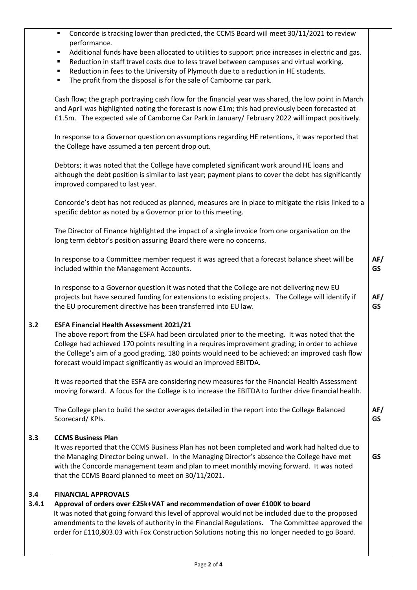|              | Concorde is tracking lower than predicted, the CCMS Board will meet 30/11/2021 to review<br>performance.<br>Additional funds have been allocated to utilities to support price increases in electric and gas.<br>٠                                                                                                                                                                                                            |                  |
|--------------|-------------------------------------------------------------------------------------------------------------------------------------------------------------------------------------------------------------------------------------------------------------------------------------------------------------------------------------------------------------------------------------------------------------------------------|------------------|
|              | Reduction in staff travel costs due to less travel between campuses and virtual working.<br>Reduction in fees to the University of Plymouth due to a reduction in HE students.<br>The profit from the disposal is for the sale of Camborne car park.                                                                                                                                                                          |                  |
|              | Cash flow; the graph portraying cash flow for the financial year was shared, the low point in March<br>and April was highlighted noting the forecast is now £1m; this had previously been forecasted at<br>£1.5m. The expected sale of Camborne Car Park in January/ February 2022 will impact positively.                                                                                                                    |                  |
|              | In response to a Governor question on assumptions regarding HE retentions, it was reported that<br>the College have assumed a ten percent drop out.                                                                                                                                                                                                                                                                           |                  |
|              | Debtors; it was noted that the College have completed significant work around HE loans and<br>although the debt position is similar to last year; payment plans to cover the debt has significantly<br>improved compared to last year.                                                                                                                                                                                        |                  |
|              | Concorde's debt has not reduced as planned, measures are in place to mitigate the risks linked to a<br>specific debtor as noted by a Governor prior to this meeting.                                                                                                                                                                                                                                                          |                  |
|              | The Director of Finance highlighted the impact of a single invoice from one organisation on the<br>long term debtor's position assuring Board there were no concerns.                                                                                                                                                                                                                                                         |                  |
|              | In response to a Committee member request it was agreed that a forecast balance sheet will be<br>included within the Management Accounts.                                                                                                                                                                                                                                                                                     | AF/<br><b>GS</b> |
|              | In response to a Governor question it was noted that the College are not delivering new EU<br>projects but have secured funding for extensions to existing projects. The College will identify if<br>the EU procurement directive has been transferred into EU law.                                                                                                                                                           | AF/<br><b>GS</b> |
| 3.2          | <b>ESFA Financial Health Assessment 2021/21</b><br>The above report from the ESFA had been circulated prior to the meeting. It was noted that the<br>College had achieved 170 points resulting in a requires improvement grading; in order to achieve<br>the College's aim of a good grading, 180 points would need to be achieved; an improved cash flow<br>forecast would impact significantly as would an improved EBITDA. |                  |
|              | It was reported that the ESFA are considering new measures for the Financial Health Assessment<br>moving forward. A focus for the College is to increase the EBITDA to further drive financial health.                                                                                                                                                                                                                        |                  |
|              | The College plan to build the sector averages detailed in the report into the College Balanced<br>Scorecard/KPIs.                                                                                                                                                                                                                                                                                                             | AF/<br><b>GS</b> |
| 3.3          | <b>CCMS Business Plan</b><br>It was reported that the CCMS Business Plan has not been completed and work had halted due to<br>the Managing Director being unwell. In the Managing Director's absence the College have met<br>with the Concorde management team and plan to meet monthly moving forward. It was noted<br>that the CCMS Board planned to meet on 30/11/2021.                                                    | <b>GS</b>        |
| 3.4<br>3.4.1 | <b>FINANCIAL APPROVALS</b><br>Approval of orders over £25k+VAT and recommendation of over £100K to board<br>It was noted that going forward this level of approval would not be included due to the proposed<br>amendments to the levels of authority in the Financial Regulations. The Committee approved the<br>order for £110,803.03 with Fox Construction Solutions noting this no longer needed to go Board.             |                  |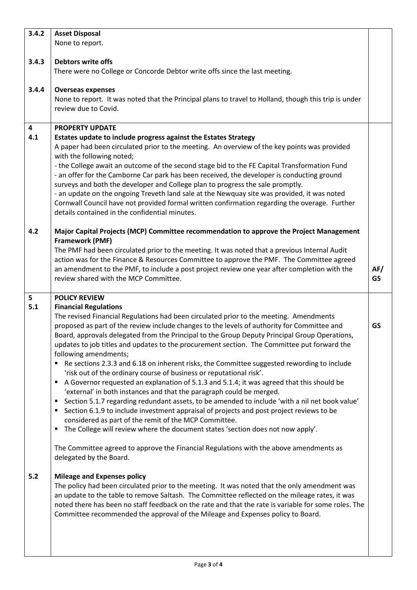| 3.4.2                          | <b>Asset Disposal</b>                                                                                                                                                                                                                                                                                                                                                                                                                                    |                  |
|--------------------------------|----------------------------------------------------------------------------------------------------------------------------------------------------------------------------------------------------------------------------------------------------------------------------------------------------------------------------------------------------------------------------------------------------------------------------------------------------------|------------------|
|                                | None to report.                                                                                                                                                                                                                                                                                                                                                                                                                                          |                  |
| 3.4.3                          | <b>Debtors write offs</b>                                                                                                                                                                                                                                                                                                                                                                                                                                |                  |
|                                | There were no College or Concorde Debtor write offs since the last meeting.                                                                                                                                                                                                                                                                                                                                                                              |                  |
| 3.4.4                          | <b>Overseas expenses</b>                                                                                                                                                                                                                                                                                                                                                                                                                                 |                  |
|                                | None to report. It was noted that the Principal plans to travel to Holland, though this trip is under<br>review due to Covid.                                                                                                                                                                                                                                                                                                                            |                  |
| $\overline{\mathbf{4}}$<br>4.1 | <b>PROPERTY UPDATE</b><br>Estates update to include progress against the Estates Strategy<br>A paper had been circulated prior to the meeting. An overview of the key points was provided<br>with the following noted;<br>- the College await an outcome of the second stage bid to the FE Capital Transformation Fund<br>- an offer for the Camborne Car park has been received, the developer is conducting ground                                     |                  |
|                                | surveys and both the developer and College plan to progress the sale promptly.<br>- an update on the ongoing Treveth land sale at the Newquay site was provided, it was noted<br>Cornwall Council have not provided formal written confirmation regarding the overage. Further                                                                                                                                                                           |                  |
|                                | details contained in the confidential minutes.                                                                                                                                                                                                                                                                                                                                                                                                           |                  |
| 4.2                            | Major Capital Projects (MCP) Committee recommendation to approve the Project Management<br><b>Framework (PMF)</b><br>The PMF had been circulated prior to the meeting. It was noted that a previous Internal Audit<br>action was for the Finance & Resources Committee to approve the PMF. The Committee agreed<br>an amendment to the PMF, to include a post project review one year after completion with the<br>review shared with the MCP Committee. | AF/<br><b>GS</b> |
| 5                              | <b>POLICY REVIEW</b>                                                                                                                                                                                                                                                                                                                                                                                                                                     |                  |
| 5.1                            | <b>Financial Regulations</b><br>The revised Financial Regulations had been circulated prior to the meeting. Amendments<br>proposed as part of the review include changes to the levels of authority for Committee and<br>Board, approvals delegated from the Principal to the Group Deputy Principal Group Operations,                                                                                                                                   | <b>GS</b>        |
|                                | updates to job titles and updates to the procurement section. The Committee put forward the                                                                                                                                                                                                                                                                                                                                                              |                  |
|                                | following amendments;                                                                                                                                                                                                                                                                                                                                                                                                                                    |                  |
|                                | Re sections 2.3.3 and 6.18 on inherent risks, the Committee suggested rewording to include                                                                                                                                                                                                                                                                                                                                                               |                  |
|                                | 'risk out of the ordinary course of business or reputational risk'.<br>A Governor requested an explanation of 5.1.3 and 5.1.4; it was agreed that this should be<br>٠                                                                                                                                                                                                                                                                                    |                  |
|                                | 'external' in both instances and that the paragraph could be merged.<br>Section 5.1.7 regarding redundant assets, to be amended to include 'with a nil net book value'<br>п<br>Section 6.1.9 to include investment appraisal of projects and post project reviews to be<br>п<br>considered as part of the remit of the MCP Committee.                                                                                                                    |                  |
|                                | The College will review where the document states 'section does not now apply'.<br>п<br>The Committee agreed to approve the Financial Regulations with the above amendments as<br>delegated by the Board.                                                                                                                                                                                                                                                |                  |
| 5.2                            | <b>Mileage and Expenses policy</b><br>The policy had been circulated prior to the meeting. It was noted that the only amendment was<br>an update to the table to remove Saltash. The Committee reflected on the mileage rates, it was<br>noted there has been no staff feedback on the rate and that the rate is variable for some roles. The<br>Committee recommended the approval of the Mileage and Expenses policy to Board.                         |                  |